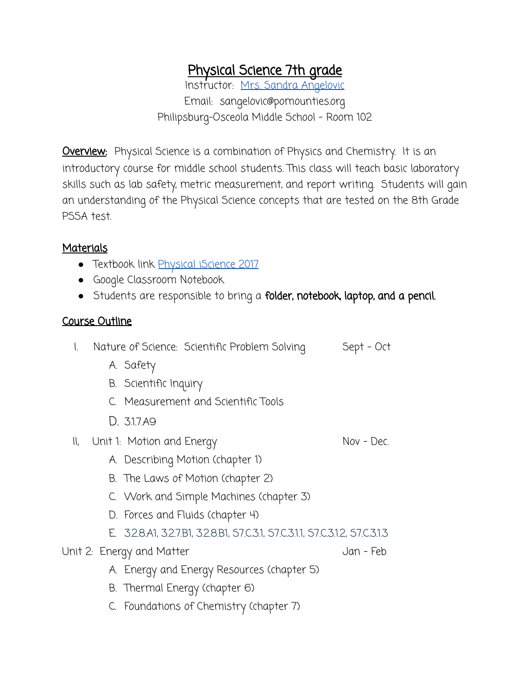## Physical Science 7th grade

Instructor: [Mrs. Sandra Angelovic](mailto:sangelovic@pomounties.org) Email: sangelovic@pomounties.org Philipsburg-Osceola Middle School - Room 102

**Overview:** Physical Science is a combination of Physics and Chemistry. It is an introductory course for middle school students. This class will teach basic laboratory skills such as lab safety, metric measurement, and report writing. Students will gain an understanding of the Physical Science concepts that are tested on the 8th Grade PSSA test.

## Materials

- Textbook link <u>[Physical iScience 2017](https://connected.mcgraw-hill.com/connected/login.do)</u>
- Google Classroom Notebook
- Students are responsible to bring a folder, notebook, laptop, and a pencil.

## Course Outline

- I. Nature of Science: Scientific Problem Solving Sept Oct
	- A. Safety
	- B. Scientific Inquiry
	- C. Measurement and Scientific Tools
	- D. 3.1.7.A9
- II, Unit 1: Motion and Energy Nov Dec.

- A. Describing Motion (chapter 1)
- B. The Laws of Motion (chapter 2)
- C. Work and Simple Machines (chapter 3)
- D. Forces and Fluids (chapter 4)
- E. 3.2.8.A1, 3.2.7.B1, 3.2.8.B1, S7.C.3.1, S7.C.3.1.1, S7.C.3.1.2, S7.C.3.1.3

## Unit 2: Energy and Matter Jan - Feb

- A. Energy and Energy Resources (chapter 5)
- B. Thermal Energy (chapter 6)
- C. Foundations of Chemistry (chapter 7)